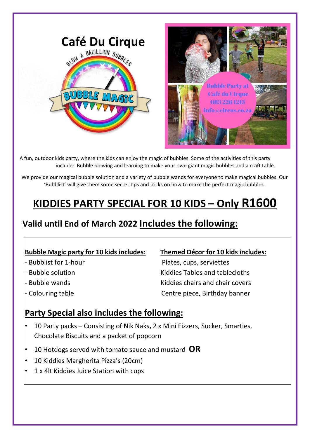

A fun, outdoor kids party, where the kids can enjoy the magic of bubbles. Some of the activities of this party include: Bubble blowing and learning to make your own giant magic bubbles and a craft table.

We provide our magical bubble solution and a variety of bubble wands for everyone to make magical bubbles. Our 'Bubblist' will give them some secret tips and tricks on how to make the perfect magic bubbles.

# **KIDDIES PARTY SPECIAL FOR 10 KIDS – Only R1600**

# **Valid until End of March 2022 Includes the following:**

# **Bubble Magic party for 10 kids includes: Themed Décor for 10 kids includes:**

- 
- 
- 
- 

- Bubblist for 1-hour extended to the Plates, cups, serviettes - Bubble solution **Exercise 2 and 18** Kiddies Tables and tablecloths - Bubble wands **Kiddies chairs and chair covers** - Colouring table Centre piece, Birthday banner

# **Party Special also includes the following:**

- 10 Party packs Consisting of Nik Naks**,** 2 x Mini Fizzers, Sucker, Smarties, Chocolate Biscuits and a packet of popcorn
- 10 Hotdogs served with tomato sauce and mustard **OR**
- 10 Kiddies Margherita Pizza's (20cm)
- 1 x 4lt Kiddies Juice Station with cups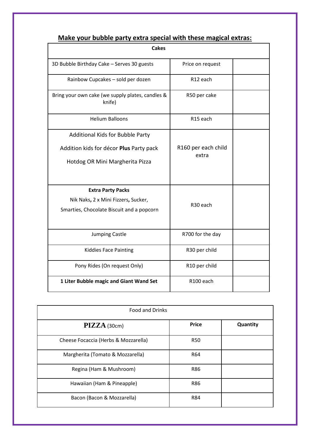| <b>Cakes</b>                                               |                              |  |
|------------------------------------------------------------|------------------------------|--|
|                                                            |                              |  |
| 3D Bubble Birthday Cake - Serves 30 guests                 | Price on request             |  |
| Rainbow Cupcakes - sold per dozen                          | R12 each                     |  |
| Bring your own cake (we supply plates, candles &<br>knife) | R50 per cake                 |  |
| <b>Helium Balloons</b>                                     | R15 each                     |  |
| <b>Additional Kids for Bubble Party</b>                    |                              |  |
| Addition kids for décor Plus Party pack                    | R160 per each child<br>extra |  |
| Hotdog OR Mini Margherita Pizza                            |                              |  |
|                                                            |                              |  |
| <b>Extra Party Packs</b>                                   |                              |  |
| Nik Naks, 2 x Mini Fizzers, Sucker,                        | R30 each                     |  |
| Smarties, Chocolate Biscuit and a popcorn                  |                              |  |
| Jumping Castle                                             | R700 for the day             |  |
| <b>Kiddies Face Painting</b>                               | R30 per child                |  |
| Pony Rides (On request Only)                               | R10 per child                |  |
| 1 Liter Bubble magic and Giant Wand Set                    | R100 each                    |  |

## **Make your bubble party extra special with these magical extras:**

| <b>Food and Drinks</b>               |              |          |
|--------------------------------------|--------------|----------|
| $\bf PIZZA$ (30cm)                   | <b>Price</b> | Quantity |
| Cheese Focaccia (Herbs & Mozzarella) | <b>R50</b>   |          |
| Margherita (Tomato & Mozzarella)     | R64          |          |
| Regina (Ham & Mushroom)              | R86          |          |
| Hawaiian (Ham & Pineapple)           | <b>R86</b>   |          |
| Bacon (Bacon & Mozzarella)           | <b>R84</b>   |          |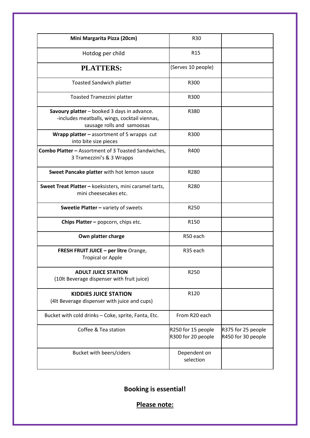| Mini Margarita Pizza (20cm)                                                                                                | <b>R30</b>                               |                                          |
|----------------------------------------------------------------------------------------------------------------------------|------------------------------------------|------------------------------------------|
| Hotdog per child                                                                                                           | R <sub>15</sub>                          |                                          |
| <b>PLATTERS:</b>                                                                                                           | (Serves 10 people)                       |                                          |
| <b>Toasted Sandwich platter</b>                                                                                            | R300                                     |                                          |
| Toasted Tramezzini platter                                                                                                 | R300                                     |                                          |
| Savoury platter - booked 3 days in advance.<br>-includes meatballs, wings, cocktail viennas,<br>sausage rolls and samoosas | R380                                     |                                          |
| Wrapp platter - assortment of 5 wrapps cut<br>into bite size pieces                                                        | R300                                     |                                          |
| <b>Combo Platter - Assortment of 3 Toasted Sandwiches,</b><br>3 Tramezzini's & 3 Wrapps                                    | R400                                     |                                          |
| Sweet Pancake platter with hot lemon sauce                                                                                 | R280                                     |                                          |
| Sweet Treat Platter - koeksisters, mini caramel tarts,<br>mini cheesecakes etc.                                            | R280                                     |                                          |
| Sweetie Platter - variety of sweets                                                                                        | R250                                     |                                          |
| Chips Platter - popcorn, chips etc.                                                                                        | R <sub>150</sub>                         |                                          |
| Own platter charge                                                                                                         | R50 each                                 |                                          |
| <b>FRESH FRUIT JUICE - per litre Orange,</b><br><b>Tropical or Apple</b>                                                   | R <sub>35</sub> each                     |                                          |
| <b>ADULT JUICE STATION</b><br>(10lt Beverage dispenser with fruit juice)                                                   | R250                                     |                                          |
| <b>KIDDIES JUICE STATION</b><br>(4lt Beverage dispenser with juice and cups)                                               | R120                                     |                                          |
| Bucket with cold drinks - Coke, sprite, Fanta, Etc.                                                                        | From R20 each                            |                                          |
| Coffee & Tea station                                                                                                       | R250 for 15 people<br>R300 for 20 people | R375 for 25 people<br>R450 for 30 people |
| Bucket with beers/ciders                                                                                                   | Dependent on<br>selection                |                                          |

**Booking is essential!** 

**Please note:**